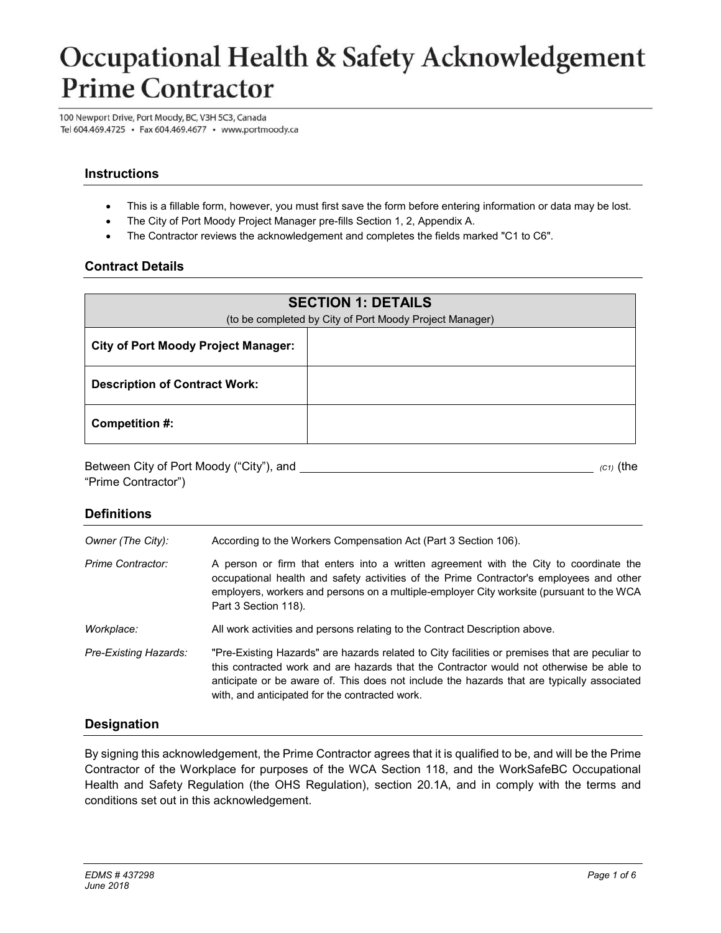# Occupational Health & Safety Acknowledgement **Prime Contractor**

100 Newport Drive, Port Moody, BC, V3H 5C3, Canada Tel 604.469.4725 · Fax 604.469.4677 · www.portmoody.ca

## **Instructions**

- This is a fillable form, however, you must first save the form before entering information or data may be lost.
- The City of Port Moody Project Manager pre-fills Section 1, 2, Appendix A.
- The Contractor reviews the acknowledgement and completes the fields marked "C1 to C6".

## **Contract Details**

|                                            | <b>SECTION 1: DETAILS</b><br>(to be completed by City of Port Moody Project Manager) |
|--------------------------------------------|--------------------------------------------------------------------------------------|
| <b>City of Port Moody Project Manager:</b> |                                                                                      |
| <b>Description of Contract Work:</b>       |                                                                                      |
| Competition #:                             |                                                                                      |

Between City of Port Moody ("City"), and *(C1)* (c1) (the content of the content of the c<sub>1</sub>)</sub> (the "Prime Contractor")

## **Definitions**

| Owner (The City):     | According to the Workers Compensation Act (Part 3 Section 106).                                                                                                                                                                                                                                                                           |
|-----------------------|-------------------------------------------------------------------------------------------------------------------------------------------------------------------------------------------------------------------------------------------------------------------------------------------------------------------------------------------|
| Prime Contractor:     | A person or firm that enters into a written agreement with the City to coordinate the<br>occupational health and safety activities of the Prime Contractor's employees and other<br>employers, workers and persons on a multiple-employer City worksite (pursuant to the WCA<br>Part 3 Section 118).                                      |
| Workplace:            | All work activities and persons relating to the Contract Description above.                                                                                                                                                                                                                                                               |
| Pre-Existing Hazards: | "Pre-Existing Hazards" are hazards related to City facilities or premises that are peculiar to<br>this contracted work and are hazards that the Contractor would not otherwise be able to<br>anticipate or be aware of. This does not include the hazards that are typically associated<br>with, and anticipated for the contracted work. |

## **Designation**

By signing this acknowledgement, the Prime Contractor agrees that it is qualified to be, and will be the Prime Contractor of the Workplace for purposes of the WCA Section 118, and the WorkSafeBC Occupational Health and Safety Regulation (the OHS Regulation), section 20.1A, and in comply with the terms and conditions set out in this acknowledgement.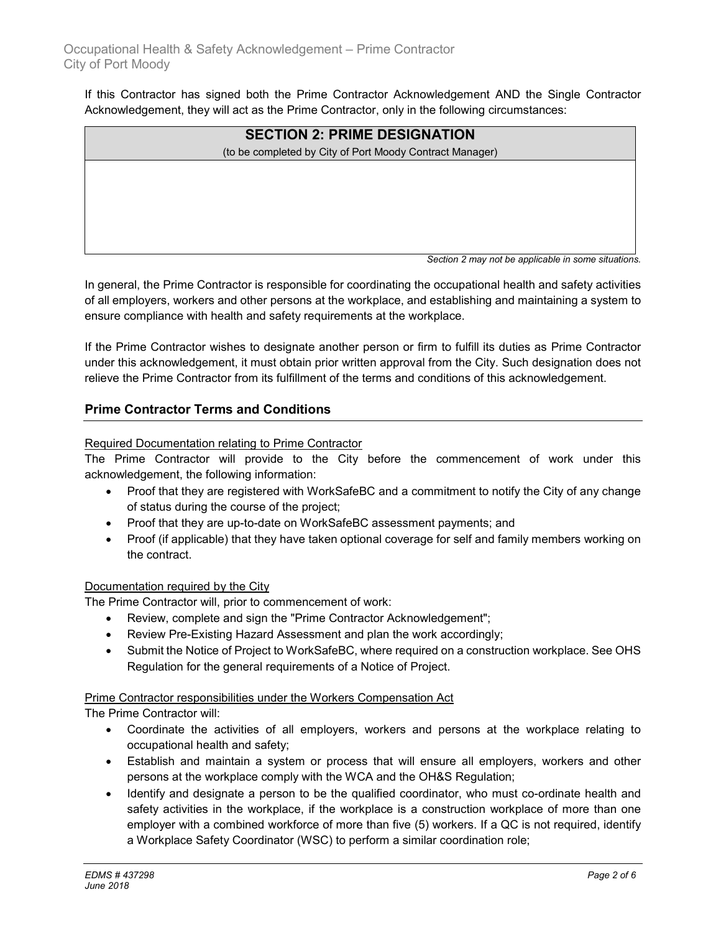If this Contractor has signed both the Prime Contractor Acknowledgement AND the Single Contractor Acknowledgement, they will act as the Prime Contractor, only in the following circumstances:

| <b>SECTION 2: PRIME DESIGNATION</b>                      |
|----------------------------------------------------------|
| (to be completed by City of Port Moody Contract Manager) |
|                                                          |
|                                                          |
|                                                          |
|                                                          |
|                                                          |
|                                                          |
| $\cdots$<br>$\sim$ $\sim$ $\sim$<br>$\sim$ $\sim$<br>    |

*Section 2 may not be applicable in some situations.* 

In general, the Prime Contractor is responsible for coordinating the occupational health and safety activities of all employers, workers and other persons at the workplace, and establishing and maintaining a system to ensure compliance with health and safety requirements at the workplace.

If the Prime Contractor wishes to designate another person or firm to fulfill its duties as Prime Contractor under this acknowledgement, it must obtain prior written approval from the City. Such designation does not relieve the Prime Contractor from its fulfillment of the terms and conditions of this acknowledgement.

## **Prime Contractor Terms and Conditions**

### Required Documentation relating to Prime Contractor

The Prime Contractor will provide to the City before the commencement of work under this acknowledgement, the following information:

- Proof that they are registered with WorkSafeBC and a commitment to notify the City of any change of status during the course of the project;
- Proof that they are up-to-date on WorkSafeBC assessment payments; and
- Proof (if applicable) that they have taken optional coverage for self and family members working on the contract.

## Documentation required by the City

The Prime Contractor will, prior to commencement of work:

- Review, complete and sign the "Prime Contractor Acknowledgement";
- Review Pre-Existing Hazard Assessment and plan the work accordingly;
- Submit the Notice of Project to WorkSafeBC, where required on a construction workplace. See OHS Regulation for the general requirements of a Notice of Project.

#### Prime Contractor responsibilities under the Workers Compensation Act

The Prime Contractor will:

- Coordinate the activities of all employers, workers and persons at the workplace relating to occupational health and safety;
- Establish and maintain a system or process that will ensure all employers, workers and other persons at the workplace comply with the WCA and the OH&S Regulation;
- Identify and designate a person to be the qualified coordinator, who must co-ordinate health and safety activities in the workplace, if the workplace is a construction workplace of more than one employer with a combined workforce of more than five (5) workers. If a QC is not required, identify a Workplace Safety Coordinator (WSC) to perform a similar coordination role;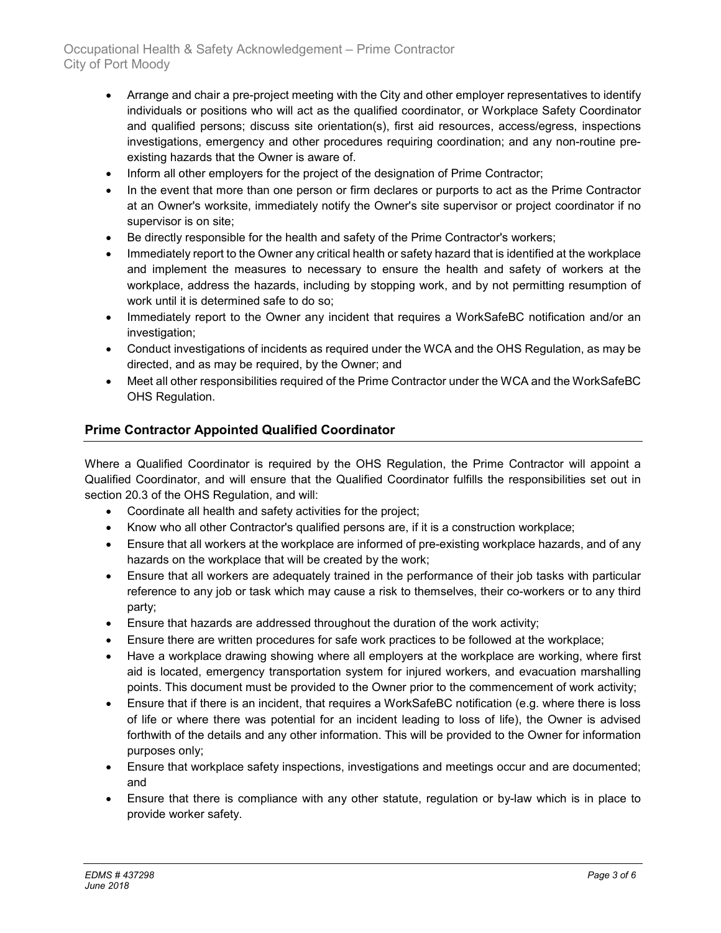Occupational Health & Safety Acknowledgement – Prime Contractor City of Port Moody

- Arrange and chair a pre-project meeting with the City and other employer representatives to identify individuals or positions who will act as the qualified coordinator, or Workplace Safety Coordinator and qualified persons; discuss site orientation(s), first aid resources, access/egress, inspections investigations, emergency and other procedures requiring coordination; and any non-routine preexisting hazards that the Owner is aware of.
- Inform all other employers for the project of the designation of Prime Contractor;
- In the event that more than one person or firm declares or purports to act as the Prime Contractor at an Owner's worksite, immediately notify the Owner's site supervisor or project coordinator if no supervisor is on site;
- Be directly responsible for the health and safety of the Prime Contractor's workers;
- Immediately report to the Owner any critical health or safety hazard that is identified at the workplace and implement the measures to necessary to ensure the health and safety of workers at the workplace, address the hazards, including by stopping work, and by not permitting resumption of work until it is determined safe to do so;
- Immediately report to the Owner any incident that requires a WorkSafeBC notification and/or an investigation;
- Conduct investigations of incidents as required under the WCA and the OHS Regulation, as may be directed, and as may be required, by the Owner; and
- Meet all other responsibilities required of the Prime Contractor under the WCA and the WorkSafeBC OHS Regulation.

## **Prime Contractor Appointed Qualified Coordinator**

Where a Qualified Coordinator is required by the OHS Regulation, the Prime Contractor will appoint a Qualified Coordinator, and will ensure that the Qualified Coordinator fulfills the responsibilities set out in section 20.3 of the OHS Regulation, and will:

- Coordinate all health and safety activities for the project;
- Know who all other Contractor's qualified persons are, if it is a construction workplace;
- Ensure that all workers at the workplace are informed of pre-existing workplace hazards, and of any hazards on the workplace that will be created by the work;
- Ensure that all workers are adequately trained in the performance of their job tasks with particular reference to any job or task which may cause a risk to themselves, their co-workers or to any third party;
- Ensure that hazards are addressed throughout the duration of the work activity;
- Ensure there are written procedures for safe work practices to be followed at the workplace;
- Have a workplace drawing showing where all employers at the workplace are working, where first aid is located, emergency transportation system for injured workers, and evacuation marshalling points. This document must be provided to the Owner prior to the commencement of work activity;
- Ensure that if there is an incident, that requires a WorkSafeBC notification (e.g. where there is loss of life or where there was potential for an incident leading to loss of life), the Owner is advised forthwith of the details and any other information. This will be provided to the Owner for information purposes only;
- Ensure that workplace safety inspections, investigations and meetings occur and are documented; and
- Ensure that there is compliance with any other statute, regulation or by-law which is in place to provide worker safety.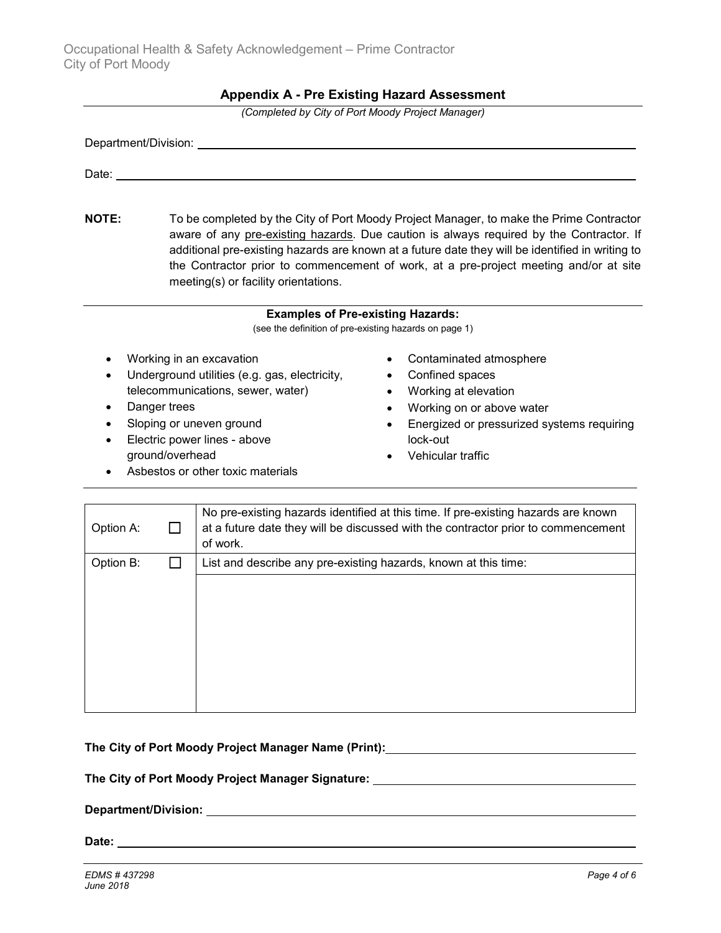|  |  |  |  |  |  | Appendix A - Pre Existing Hazard Assessment |
|--|--|--|--|--|--|---------------------------------------------|
|--|--|--|--|--|--|---------------------------------------------|

*(Completed by City of Port Moody Project Manager)*

| Department/Division: _ |  |
|------------------------|--|
| Date:                  |  |

**NOTE:** To be completed by the City of Port Moody Project Manager, to make the Prime Contractor aware of any pre-existing hazards. Due caution is always required by the Contractor. If additional pre-existing hazards are known at a future date they will be identified in writing to the Contractor prior to commencement of work, at a pre-project meeting and/or at site meeting(s) or facility orientations.

#### **Examples of Pre-existing Hazards:**

(see the definition of pre-existing hazards on page 1)

- Working in an excavation
- Underground utilities (e.g. gas, electricity, telecommunications, sewer, water)
- Danger trees
- Sloping or uneven ground
- Electric power lines above ground/overhead
- Asbestos or other toxic materials
- Contaminated atmosphere
- Confined spaces
- Working at elevation
- Working on or above water
- **•** Energized or pressurized systems requiring lock-out
- Vehicular traffic

| Option A: | No pre-existing hazards identified at this time. If pre-existing hazards are known<br>at a future date they will be discussed with the contractor prior to commencement<br>of work. |
|-----------|-------------------------------------------------------------------------------------------------------------------------------------------------------------------------------------|
| Option B: | List and describe any pre-existing hazards, known at this time:                                                                                                                     |
|           |                                                                                                                                                                                     |
|           |                                                                                                                                                                                     |
|           |                                                                                                                                                                                     |
|           |                                                                                                                                                                                     |
|           |                                                                                                                                                                                     |
|           |                                                                                                                                                                                     |

| The City of Port Moody Project Manager Name (Print): |
|------------------------------------------------------|
|------------------------------------------------------|

#### **The City of Port Moody Project Manager Signature:**

**Department/Division:** 

**Date:**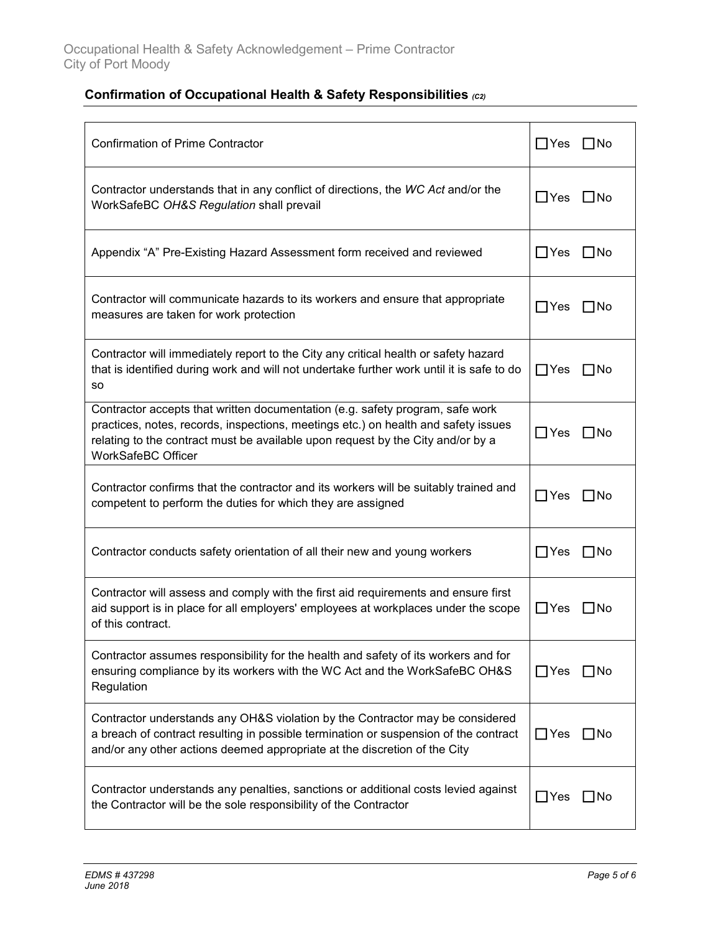## **Confirmation of Occupational Health & Safety Responsibilities** *(C2)*

| <b>Confirmation of Prime Contractor</b>                                                                                                                                                                                                                                      | $\Box$ Yes | l INo     |
|------------------------------------------------------------------------------------------------------------------------------------------------------------------------------------------------------------------------------------------------------------------------------|------------|-----------|
| Contractor understands that in any conflict of directions, the WC Act and/or the<br>WorkSafeBC OH&S Regulation shall prevail                                                                                                                                                 | $\Box$ Yes | ∐No       |
| Appendix "A" Pre-Existing Hazard Assessment form received and reviewed                                                                                                                                                                                                       | $\Box$ Yes | ΠNo       |
| Contractor will communicate hazards to its workers and ensure that appropriate<br>measures are taken for work protection                                                                                                                                                     | $\Box$ Yes | l INo     |
| Contractor will immediately report to the City any critical health or safety hazard<br>that is identified during work and will not undertake further work until it is safe to do<br>so                                                                                       | $\Box$ Yes | l INo     |
| Contractor accepts that written documentation (e.g. safety program, safe work<br>practices, notes, records, inspections, meetings etc.) on health and safety issues<br>relating to the contract must be available upon request by the City and/or by a<br>WorkSafeBC Officer | $\Box$ Yes | - INo     |
| Contractor confirms that the contractor and its workers will be suitably trained and<br>competent to perform the duties for which they are assigned                                                                                                                          | $\Box$ Yes | □No       |
| Contractor conducts safety orientation of all their new and young workers                                                                                                                                                                                                    | $\Box$ Yes | - INo     |
| Contractor will assess and comply with the first aid requirements and ensure first<br>aid support is in place for all employers' employees at workplaces under the scope<br>of this contract.                                                                                | $\Box$ Yes | - INo     |
| Contractor assumes responsibility for the health and safety of its workers and for<br>ensuring compliance by its workers with the WC Act and the WorkSafeBC OH&S<br>Regulation                                                                                               | $\Box$ Yes | ∐No       |
| Contractor understands any OH&S violation by the Contractor may be considered<br>a breach of contract resulting in possible termination or suspension of the contract<br>and/or any other actions deemed appropriate at the discretion of the City                           | $\Box$ Yes | $\Box$ No |
| Contractor understands any penalties, sanctions or additional costs levied against<br>the Contractor will be the sole responsibility of the Contractor                                                                                                                       | $\Box$ Yes | ∃No       |